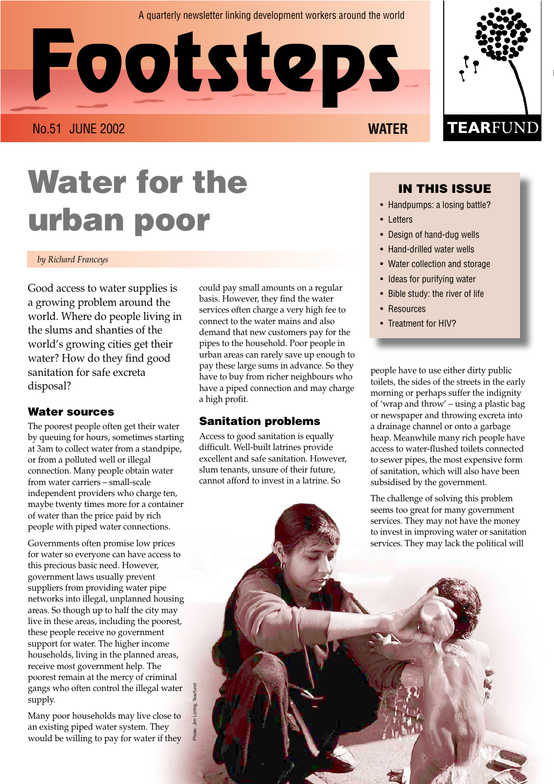#### A quarterly newsletter linking development workers around the world

**Footsteps**

No.51 JUNE 2002 **WATER**

# **Water for the urban poor**

#### *by Richard Franceys*

Good access to water supplies is a growing problem around the world. Where do people living in the slums and shanties of the world's growing cities get their water? How do they find good sanitation for safe excreta disposal?

#### **Water sources**

The poorest people often get their water by queuing for hours, sometimes starting at 3am to collect water from a standpipe, or from a polluted well or illegal connection. Many people obtain water from water carriers – small-scale independent providers who charge ten, maybe twenty times more for a container of water than the price paid by rich people with piped water connections.

Governments often promise low prices for water so everyone can have access to this precious basic need. However, government laws usually prevent suppliers from providing water pipe networks into illegal, unplanned housing areas. So though up to half the city may live in these areas, including the poorest, these people receive no government support for water. The higher income households, living in the planned areas, receive most government help. The poorest remain at the mercy of criminal gangs who often control the illegal water supply.

Many poor households may live close to an existing piped water system. They would be willing to pay for water if they Photo: Jim Loring, Tearfund

could pay small amounts on a regular basis. However, they find the water services often charge a very high fee to connect to the water mains and also demand that new customers pay for the pipes to the household. Poor people in urban areas can rarely save up enough to pay these large sums in advance. So they have to buy from richer neighbours who have a piped connection and may charge a high profit.

#### **Sanitation problems**

Access to good sanitation is equally difficult. Well-built latrines provide excellent and safe sanitation. However, slum tenants, unsure of their future, cannot afford to invest in a latrine. So

### **IN THIS ISSUE**

- Handpumps: a losing battle?
- Letters
- Design of hand-dug wells
- Hand-drilled water wells
- Water collection and storage
- Ideas for purifying water
- Bible study: the river of life
- Resources
- Treatment for HIV?

people have to use either dirty public toilets, the sides of the streets in the early morning or perhaps suffer the indignity of 'wrap and throw' – using a plastic bag or newspaper and throwing excreta into a drainage channel or onto a garbage heap. Meanwhile many rich people have access to water-flushed toilets connected to sewer pipes, the most expensive form of sanitation, which will also have been subsidised by the government.

The challenge of solving this problem seems too great for many government services. They may not have the money to invest in improving water or sanitation services. They may lack the political will

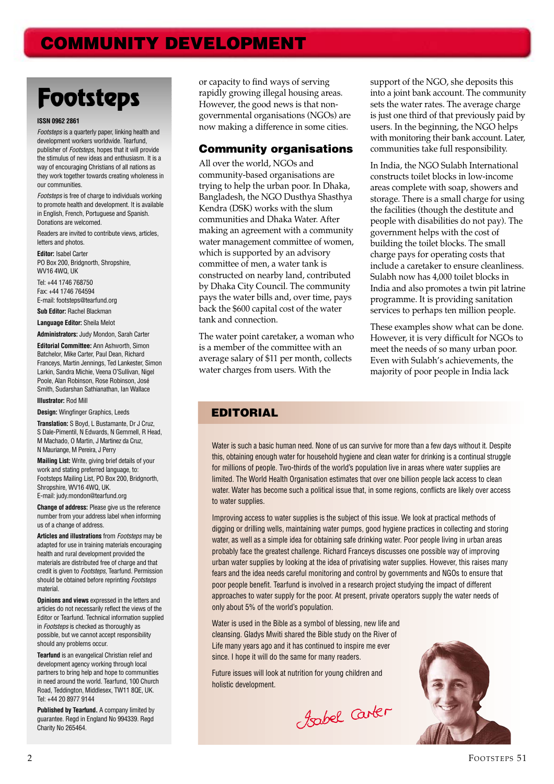# **COMMUNITY DEVELOPMENT**

# **Footsteps**

#### **ISSN 0962 2861**

Footsteps is a quarterly paper, linking health and development workers worldwide. Tearfund, publisher of Footsteps, hopes that it will provide the stimulus of new ideas and enthusiasm. It is a way of encouraging Christians of all nations as they work together towards creating wholeness in our communities.

Footsteps is free of charge to individuals working to promote health and development. It is available in English, French, Portuguese and Spanish. Donations are welcomed.

Readers are invited to contribute views, articles, letters and photos.

**Editor:** Isabel Carter PO Box 200, Bridgnorth, Shropshire, WV16 4WQ, UK

Tel: +44 1746 768750 Fax: +44 1746 764594 E-mail: footsteps@tearfund.org

**Sub Editor:** Rachel Blackman

**Language Editor:** Sheila Melot

**Administrators:** Judy Mondon, Sarah Carter

**Editorial Committee: Ann Ashworth, Simon** Batchelor, Mike Carter, Paul Dean, Richard Franceys, Martin Jennings, Ted Lankester, Simon Larkin, Sandra Michie, Veena O'Sullivan, Nigel Poole, Alan Robinson, Rose Robinson, José Smith, Sudarshan Sathianathan, Ian Wallace

#### **Illustrator:** Rod Mill

**Design:** Wingfinger Graphics, Leeds

**Translation:** S Boyd, L Bustamante, Dr J Cruz, S Dale-Pimentil, N Edwards, N Gemmell, R Head, M Machado, O Martin, J Martinez da Cruz, N Mauriange, M Pereira, J Perry

**Mailing List:** Write, giving brief details of your work and stating preferred language, to: Footsteps Mailing List, PO Box 200, Bridgnorth, Shropshire, WV16 4WQ, UK. E-mail: judy.mondon@tearfund.org

**Change of address:** Please give us the reference number from your address label when informing us of a change of address.

**Articles and illustrations** from Footsteps may be adapted for use in training materials encouraging health and rural development provided the materials are distributed free of charge and that credit is given to Footsteps, Tearfund. Permission should be obtained before reprinting *Footsteps* material.

**Opinions and views** expressed in the letters and articles do not necessarily reflect the views of the Editor or Tearfund. Technical information supplied in Footsteps is checked as thoroughly as possible, but we cannot accept responsibility should any problems occur.

**Tearfund** is an evangelical Christian relief and development agency working through local partners to bring help and hope to communities in need around the world. Tearfund, 100 Church Road, Teddington, Middlesex, TW11 8QE, UK. Tel: +44 20 8977 9144

**Published by Tearfund.** A company limited by guarantee. Regd in England No 994339. Regd Charity No 265464.

or capacity to find ways of serving rapidly growing illegal housing areas. However, the good news is that nongovernmental organisations (NGOs) are now making a difference in some cities.

#### **Community organisations**

All over the world, NGOs and community-based organisations are trying to help the urban poor. In Dhaka, Bangladesh, the NGO Dusthya Shasthya Kendra (DSK) works with the slum communities and Dhaka Water. After making an agreement with a community water management committee of women, which is supported by an advisory committee of men, a water tank is constructed on nearby land, contributed by Dhaka City Council. The community pays the water bills and, over time, pays back the \$600 capital cost of the water tank and connection.

The water point caretaker, a woman who is a member of the committee with an average salary of \$11 per month, collects water charges from users. With the

support of the NGO, she deposits this into a joint bank account. The community sets the water rates. The average charge is just one third of that previously paid by users. In the beginning, the NGO helps with monitoring their bank account. Later, communities take full responsibility.

In India, the NGO Sulabh International constructs toilet blocks in low-income areas complete with soap, showers and storage. There is a small charge for using the facilities (though the destitute and people with disabilities do not pay). The government helps with the cost of building the toilet blocks. The small charge pays for operating costs that include a caretaker to ensure cleanliness. Sulabh now has 4,000 toilet blocks in India and also promotes a twin pit latrine programme. It is providing sanitation services to perhaps ten million people.

These examples show what can be done. However, it is very difficult for NGOs to meet the needs of so many urban poor. Even with Sulabh's achievements, the majority of poor people in India lack

### **EDITORIAL**

Water is such a basic human need. None of us can survive for more than a few days without it. Despite this, obtaining enough water for household hygiene and clean water for drinking is a continual struggle for millions of people. Two-thirds of the world's population live in areas where water supplies are limited. The World Health Organisation estimates that over one billion people lack access to clean water. Water has become such a political issue that, in some regions, conflicts are likely over access to water supplies.

Improving access to water supplies is the subject of this issue. We look at practical methods of digging or drilling wells, maintaining water pumps, good hygiene practices in collecting and storing water, as well as a simple idea for obtaining safe drinking water. Poor people living in urban areas probably face the greatest challenge. Richard Franceys discusses one possible way of improving urban water supplies by looking at the idea of privatising water supplies. However, this raises many fears and the idea needs careful monitoring and control by governments and NGOs to ensure that poor people benefit. Tearfund is involved in a research project studying the impact of different approaches to water supply for the poor. At present, private operators supply the water needs of only about 5% of the world's population.

Water is used in the Bible as a symbol of blessing, new life and cleansing. Gladys Mwiti shared the Bible study on the River of Life many years ago and it has continued to inspire me ever since. I hope it will do the same for many readers.

Future issues will look at nutrition for young children and holistic development.

Josbel Carter

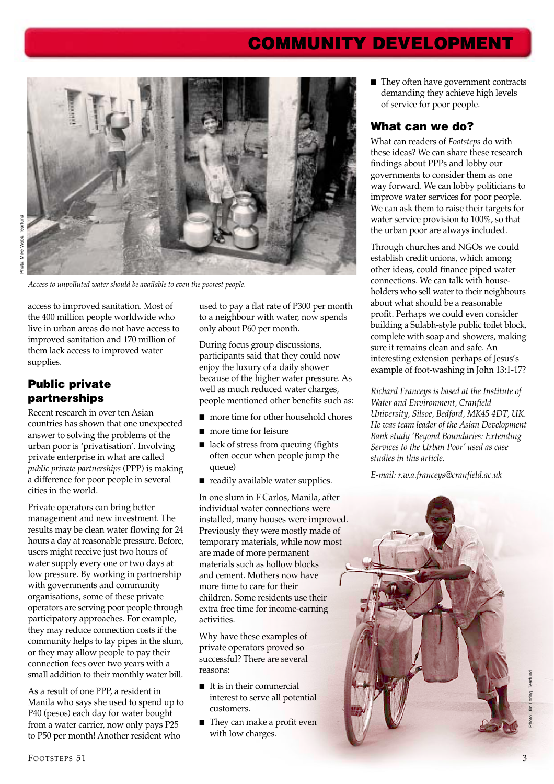# **COMMUNITY DEVELOPMENT**



*Access to unpolluted water should be available to even the poorest people.*

access to improved sanitation. Most of the 400 million people worldwide who live in urban areas do not have access to improved sanitation and 170 million of them lack access to improved water supplies.

## **Public private partnerships**

Recent research in over ten Asian countries has shown that one unexpected answer to solving the problems of the urban poor is 'privatisation'. Involving private enterprise in what are called *public private partnerships* (PPP) is making a difference for poor people in several cities in the world.

Private operators can bring better management and new investment. The results may be clean water flowing for 24 hours a day at reasonable pressure. Before, users might receive just two hours of water supply every one or two days at low pressure. By working in partnership with governments and community organisations, some of these private operators are serving poor people through participatory approaches. For example, they may reduce connection costs if the community helps to lay pipes in the slum, or they may allow people to pay their connection fees over two years with a small addition to their monthly water bill.

As a result of one PPP, a resident in Manila who says she used to spend up to P40 (pesos) each day for water bought from a water carrier, now only pays P25 to P50 per month! Another resident who

used to pay a flat rate of P300 per month to a neighbour with water, now spends only about P60 per month.

During focus group discussions, participants said that they could now enjoy the luxury of a daily shower because of the higher water pressure. As well as much reduced water charges, people mentioned other benefits such as:

- more time for other household chores
- more time for leisure
- lack of stress from queuing (fights often occur when people jump the queue)
- readily available water supplies.

In one slum in F Carlos, Manila, after individual water connections were installed, many houses were improved. Previously they were mostly made of temporary materials, while now most are made of more permanent materials such as hollow blocks and cement. Mothers now have more time to care for their children. Some residents use their extra free time for income-earning activities.

Why have these examples of private operators proved so successful? There are several reasons:

- It is in their commercial interest to serve all potential customers.
- They can make a profit even with low charges.

■ They often have government contracts demanding they achieve high levels of service for poor people.

#### **What can we do?**

What can readers of *Footsteps* do with these ideas? We can share these research findings about PPPs and lobby our governments to consider them as one way forward. We can lobby politicians to improve water services for poor people. We can ask them to raise their targets for water service provision to 100%, so that the urban poor are always included.

Through churches and NGOs we could establish credit unions, which among other ideas, could finance piped water connections. We can talk with householders who sell water to their neighbours about what should be a reasonable profit. Perhaps we could even consider building a Sulabh-style public toilet block, complete with soap and showers, making sure it remains clean and safe. An interesting extension perhaps of Jesus's example of foot-washing in John 13:1-17?

*Richard Franceys is based at the Institute of Water and Environment, Cranfield University, Silsoe, Bedford, MK45 4DT, UK. He was team leader of the Asian Development Bank study 'Beyond Boundaries: Extending Services to the Urban Poor' used as case studies in this article.*

*E-mail: r.w.a.franceys@cranfield.ac.uk*



Photo: Jim Loring, Tearfund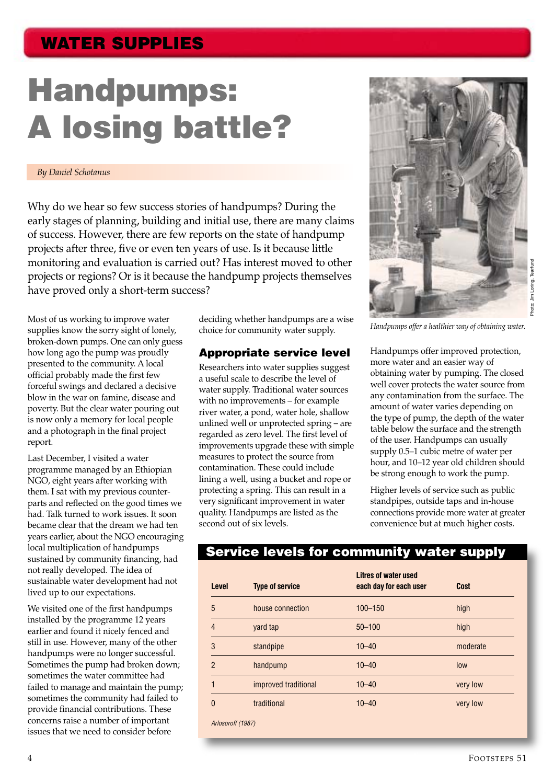# **Handpumps: A losing battle?**

#### *By Daniel Schotanus*

Why do we hear so few success stories of handpumps? During the early stages of planning, building and initial use, there are many claims of success. However, there are few reports on the state of handpump projects after three, five or even ten years of use. Is it because little monitoring and evaluation is carried out? Has interest moved to other projects or regions? Or is it because the handpump projects themselves have proved only a short-term success?

Most of us working to improve water supplies know the sorry sight of lonely, broken-down pumps. One can only guess how long ago the pump was proudly presented to the community. A local official probably made the first few forceful swings and declared a decisive blow in the war on famine, disease and poverty. But the clear water pouring out is now only a memory for local people and a photograph in the final project report.

Last December, I visited a water programme managed by an Ethiopian NGO, eight years after working with them. I sat with my previous counterparts and reflected on the good times we had. Talk turned to work issues. It soon became clear that the dream we had ten years earlier, about the NGO encouraging local multiplication of handpumps sustained by community financing, had not really developed. The idea of sustainable water development had not lived up to our expectations.

We visited one of the first handpumps installed by the programme 12 years earlier and found it nicely fenced and still in use. However, many of the other handpumps were no longer successful. Sometimes the pump had broken down; sometimes the water committee had failed to manage and maintain the pump; sometimes the community had failed to provide financial contributions. These concerns raise a number of important issues that we need to consider before

deciding whether handpumps are a wise choice for community water supply.

#### **Appropriate service level**

Researchers into water supplies suggest a useful scale to describe the level of water supply. Traditional water sources with no improvements – for example river water, a pond, water hole, shallow unlined well or unprotected spring – are regarded as zero level. The first level of improvements upgrade these with simple measures to protect the source from contamination. These could include lining a well, using a bucket and rope or protecting a spring. This can result in a very significant improvement in water quality. Handpumps are listed as the second out of six levels.



*Handpumps offer a healthier way of obtaining water.*

Handpumps offer improved protection, more water and an easier way of obtaining water by pumping. The closed well cover protects the water source from any contamination from the surface. The amount of water varies depending on the type of pump, the depth of the water table below the surface and the strength of the user. Handpumps can usually supply 0.5–1 cubic metre of water per hour, and 10–12 year old children should be strong enough to work the pump.

Higher levels of service such as public standpipes, outside taps and in-house connections provide more water at greater convenience but at much higher costs.

## **Service levels for community water supply**

| Level          | <b>Type of service</b> | <b>Litres of water used</b><br>each day for each user | <b>Cost</b> |
|----------------|------------------------|-------------------------------------------------------|-------------|
| 5              | house connection       | $100 - 150$                                           | high        |
| $\overline{4}$ | yard tap               | $50 - 100$                                            | high        |
| 3              | standpipe              | $10 - 40$                                             | moderate    |
| $\mathfrak{p}$ | handpump               | $10 - 40$                                             | low         |
|                | improved traditional   | $10 - 40$                                             | very low    |
| 0              | traditional            | $10 - 40$                                             | very low    |

FOOTSTEPS 51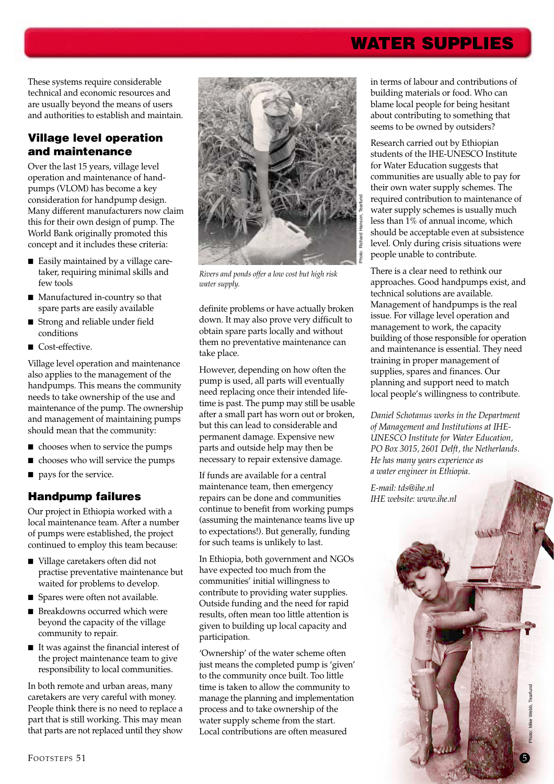These systems require considerable technical and economic resources and are usually beyond the means of users and authorities to establish and maintain.

## **Village level operation and maintenance**

Over the last 15 years, village level operation and maintenance of handpumps (VLOM) has become a key consideration for handpump design. Many different manufacturers now claim this for their own design of pump. The World Bank originally promoted this concept and it includes these criteria:

- Easily maintained by a village caretaker, requiring minimal skills and few tools
- Manufactured in-country so that spare parts are easily available
- Strong and reliable under field conditions
- Cost-effective.

Village level operation and maintenance also applies to the management of the handpumps. This means the community needs to take ownership of the use and maintenance of the pump. The ownership and management of maintaining pumps should mean that the community:

- chooses when to service the pumps
- chooses who will service the pumps
- pays for the service.

## **Handpump failures**

Our project in Ethiopia worked with a local maintenance team. After a number of pumps were established, the project continued to employ this team because:

- Village caretakers often did not practise preventative maintenance but waited for problems to develop.
- Spares were often not available.
- Breakdowns occurred which were beyond the capacity of the village community to repair.
- It was against the financial interest of the project maintenance team to give responsibility to local communities.

In both remote and urban areas, many caretakers are very careful with money. People think there is no need to replace a part that is still working. This may mean that parts are not replaced until they show



*Rivers and ponds offer a low cost but high risk water supply.*

definite problems or have actually broken down. It may also prove very difficult to obtain spare parts locally and without them no preventative maintenance can take place.

However, depending on how often the pump is used, all parts will eventually need replacing once their intended lifetime is past. The pump may still be usable after a small part has worn out or broken, but this can lead to considerable and permanent damage. Expensive new parts and outside help may then be necessary to repair extensive damage.

If funds are available for a central maintenance team, then emergency repairs can be done and communities continue to benefit from working pumps (assuming the maintenance teams live up to expectations!). But generally, funding for such teams is unlikely to last.

In Ethiopia, both government and NGOs have expected too much from the communities' initial willingness to contribute to providing water supplies. Outside funding and the need for rapid results, often mean too little attention is given to building up local capacity and participation.

'Ownership' of the water scheme often just means the completed pump is 'given' to the community once built. Too little time is taken to allow the community to manage the planning and implementation process and to take ownership of the water supply scheme from the start. Local contributions are often measured

in terms of labour and contributions of building materials or food. Who can blame local people for being hesitant about contributing to something that seems to be owned by outsiders?

Research carried out by Ethiopian students of the IHE-UNESCO Institute for Water Education suggests that communities are usually able to pay for their own water supply schemes. The required contribution to maintenance of water supply schemes is usually much less than 1% of annual income, which should be acceptable even at subsistence level. Only during crisis situations were people unable to contribute.

There is a clear need to rethink our approaches. Good handpumps exist, and technical solutions are available. Management of handpumps is the real issue. For village level operation and management to work, the capacity building of those responsible for operation and maintenance is essential. They need training in proper management of supplies, spares and finances. Our planning and support need to match local people's willingness to contribute.

*Daniel Schotanus works in the Department of Management and Institutions at IHE-UNESCO Institute for Water Education, PO Box 3015, 2601 Delft, the Netherlands. He has many years experience as a water engineer in Ethiopia.*

*E-mail: tds@ihe.nl IHE website: www.ihe.nl*

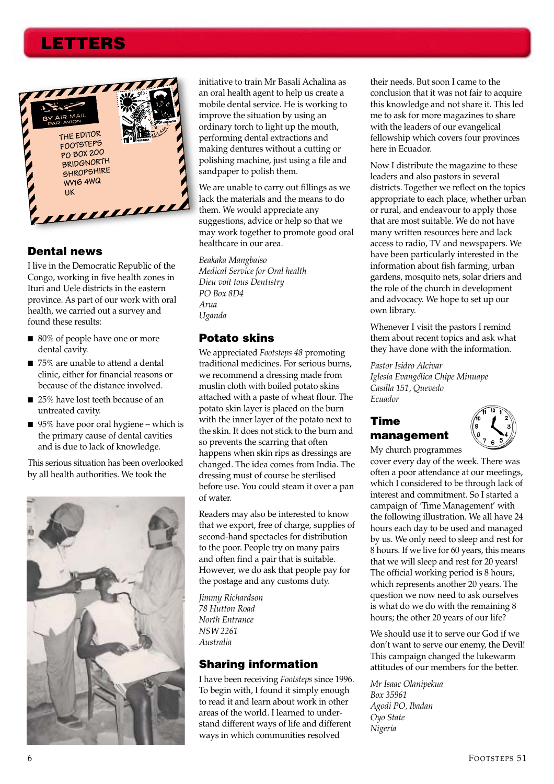## **LETTERS**



#### **Dental news**

I live in the Democratic Republic of the Congo, working in five health zones in Ituri and Uele districts in the eastern province. As part of our work with oral health, we carried out a survey and found these results:

- 80% of people have one or more dental cavity.
- 75% are unable to attend a dental clinic, either for financial reasons or because of the distance involved.
- 25% have lost teeth because of an untreated cavity.
- 95% have poor oral hygiene which is the primary cause of dental cavities and is due to lack of knowledge.

This serious situation has been overlooked by all health authorities. We took the



initiative to train Mr Basali Achalina as an oral health agent to help us create a mobile dental service. He is working to improve the situation by using an ordinary torch to light up the mouth, performing dental extractions and making dentures without a cutting or polishing machine, just using a file and sandpaper to polish them.

We are unable to carry out fillings as we lack the materials and the means to do them. We would appreciate any suggestions, advice or help so that we may work together to promote good oral healthcare in our area.

*Beakaka Mangbaiso Medical Service for Oral health Dieu voit tous Dentistry PO Box 8D4 Arua Uganda*

#### **Potato skins**

We appreciated *Footsteps 48* promoting traditional medicines. For serious burns, we recommend a dressing made from muslin cloth with boiled potato skins attached with a paste of wheat flour. The potato skin layer is placed on the burn with the inner layer of the potato next to the skin. It does not stick to the burn and so prevents the scarring that often happens when skin rips as dressings are changed. The idea comes from India. The dressing must of course be sterilised before use. You could steam it over a pan of water.

Readers may also be interested to know that we export, free of charge, supplies of second-hand spectacles for distribution to the poor. People try on many pairs and often find a pair that is suitable. However, we do ask that people pay for the postage and any customs duty.

*Jimmy Richardson 78 Hutton Road North Entrance NSW 2261 Australia*

#### **Sharing information**

I have been receiving *Footsteps* since 1996. To begin with, I found it simply enough to read it and learn about work in other areas of the world. I learned to understand different ways of life and different ways in which communities resolved

their needs. But soon I came to the conclusion that it was not fair to acquire this knowledge and not share it. This led me to ask for more magazines to share with the leaders of our evangelical fellowship which covers four provinces here in Ecuador.

Now I distribute the magazine to these leaders and also pastors in several districts. Together we reflect on the topics appropriate to each place, whether urban or rural, and endeavour to apply those that are most suitable. We do not have many written resources here and lack access to radio, TV and newspapers. We have been particularly interested in the information about fish farming, urban gardens, mosquito nets, solar driers and the role of the church in development and advocacy. We hope to set up our own library.

Whenever I visit the pastors I remind them about recent topics and ask what they have done with the information.

*Pastor Isidro Alcivar Iglesia Evangélica Chipe Minuape Casilla 151, Quevedo Ecuador*

### **Time management**



My church programmes cover every day of the week. There was often a poor attendance at our meetings, which I considered to be through lack of interest and commitment. So I started a campaign of 'Time Management' with the following illustration. We all have 24 hours each day to be used and managed by us. We only need to sleep and rest for 8 hours. If we live for 60 years, this means that we will sleep and rest for 20 years! The official working period is 8 hours, which represents another 20 years. The question we now need to ask ourselves is what do we do with the remaining 8 hours; the other 20 years of our life?

We should use it to serve our God if we don't want to serve our enemy, the Devil! This campaign changed the lukewarm attitudes of our members for the better.

*Mr Isaac Olanipekua Box 35961 Agodi PO, Ibadan Oyo State Nigeria*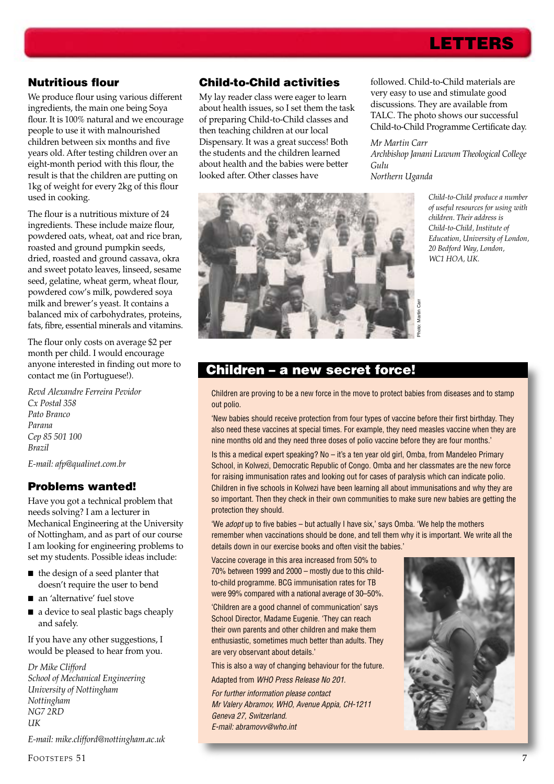## **LETTERS**

#### **Nutritious flour**

We produce flour using various different ingredients, the main one being Soya flour. It is 100% natural and we encourage people to use it with malnourished children between six months and five years old. After testing children over an eight-month period with this flour, the result is that the children are putting on 1kg of weight for every 2kg of this flour used in cooking.

The flour is a nutritious mixture of 24 ingredients. These include maize flour, powdered oats, wheat, oat and rice bran, roasted and ground pumpkin seeds, dried, roasted and ground cassava, okra and sweet potato leaves, linseed, sesame seed, gelatine, wheat germ, wheat flour, powdered cow's milk, powdered soya milk and brewer's yeast. It contains a balanced mix of carbohydrates, proteins, fats, fibre, essential minerals and vitamins.

The flour only costs on average \$2 per month per child. I would encourage anyone interested in finding out more to contact me (in Portuguese!).

*Revd Alexandre Ferreira Pevidor Cx Postal 358 Pato Branco Parana Cep 85 501 100 Brazil E-mail: afp@qualinet.com.br*

#### **Problems wanted!**

Have you got a technical problem that needs solving? I am a lecturer in Mechanical Engineering at the University of Nottingham, and as part of our course I am looking for engineering problems to set my students. Possible ideas include:

- the design of a seed planter that doesn't require the user to bend
- an 'alternative' fuel stove
- a device to seal plastic bags cheaply and safely.

If you have any other suggestions, I would be pleased to hear from you.

*Dr Mike Clifford School of Mechanical Engineering University of Nottingham Nottingham NG7 2RD UK*

*E-mail: mike.clifford@nottingham.ac.uk*

#### **Child-to-Child activities**

My lay reader class were eager to learn about health issues, so I set them the task of preparing Child-to-Child classes and then teaching children at our local Dispensary. It was a great success! Both the students and the children learned about health and the babies were better looked after. Other classes have

followed. Child-to-Child materials are very easy to use and stimulate good discussions. They are available from TALC. The photo shows our successful Child-to-Child Programme Certificate day.

#### *Mr Martin Carr*

*Archbishop Janani Luwum Theological College Gulu Northern Uganda*



*Child-to-Child produce a number of useful resources for using with children. Their address is Child-to-Child, Institute of Education, University of London, 20 Bedford Way, London, WC1 HOA, UK.*

### **Children – a new secret force!**

Children are proving to be a new force in the move to protect babies from diseases and to stamp out polio.

'New babies should receive protection from four types of vaccine before their first birthday. They also need these vaccines at special times. For example, they need measles vaccine when they are nine months old and they need three doses of polio vaccine before they are four months.'

Is this a medical expert speaking? No – it's a ten year old girl, Omba, from Mandeleo Primary School, in Kolwezi, Democratic Republic of Congo. Omba and her classmates are the new force for raising immunisation rates and looking out for cases of paralysis which can indicate polio. Children in five schools in Kolwezi have been learning all about immunisations and why they are so important. Then they check in their own communities to make sure new babies are getting the protection they should.

'We adopt up to five babies – but actually I have six,' says Omba. 'We help the mothers remember when vaccinations should be done, and tell them why it is important. We write all the details down in our exercise books and often visit the babies.'

Vaccine coverage in this area increased from 50% to 70% between 1999 and 2000 – mostly due to this childto-child programme. BCG immunisation rates for TB were 99% compared with a national average of 30–50%.

'Children are a good channel of communication' says School Director, Madame Eugenie. 'They can reach their own parents and other children and make them enthusiastic, sometimes much better than adults. They are very observant about details.'

This is also a way of changing behaviour for the future.

Adapted from WHO Press Release No 201.

For further information please contact Mr Valery Abramov, WHO, Avenue Appia, CH-1211 Geneva 27, Switzerland. E-mail: abramovv@who.int

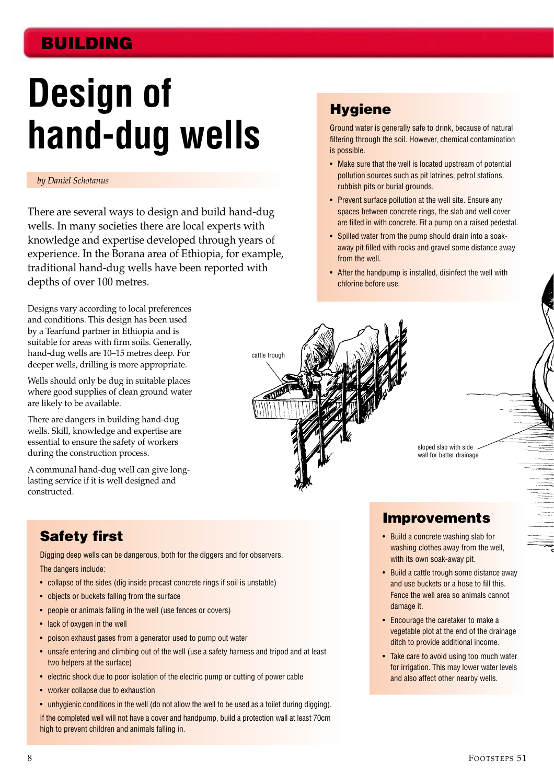# **BUILDING**

# **Design of hand-dug wells**

#### *by Daniel Schotanus*

There are several ways to design and build hand-dug wells. In many societies there are local experts with knowledge and expertise developed through years of experience. In the Borana area of Ethiopia, for example, traditional hand-dug wells have been reported with depths of over 100 metres.

Designs vary according to local preferences and conditions. This design has been used by a Tearfund partner in Ethiopia and is suitable for areas with firm soils. Generally, hand-dug wells are 10–15 metres deep. For deeper wells, drilling is more appropriate.

Wells should only be dug in suitable places where good supplies of clean ground water are likely to be available.

There are dangers in building hand-dug wells. Skill, knowledge and expertise are essential to ensure the safety of workers during the construction process.

A communal hand-dug well can give longlasting service if it is well designed and constructed.

## **Hygiene**

Ground water is generally safe to drink, because of natural filtering through the soil. However, chemical contamination is possible.

- Make sure that the well is located upstream of potential pollution sources such as pit latrines, petrol stations, rubbish pits or burial grounds.
- Prevent surface pollution at the well site. Ensure any spaces between concrete rings, the slab and well cover are filled in with concrete. Fit a pump on a raised pedestal.
- Spilled water from the pump should drain into a soakaway pit filled with rocks and gravel some distance away from the well.
- After the handpump is installed, disinfect the well with chlorine before use.



sloped slab with side wall for better drainage

## **Improvements**

- Build a concrete washing slab for washing clothes away from the well, with its own soak-away pit.
- Build a cattle trough some distance away and use buckets or a hose to fill this. Fence the well area so animals cannot damage it.
- Encourage the caretaker to make a vegetable plot at the end of the drainage ditch to provide additional income.
- Take care to avoid using too much water for irrigation. This may lower water levels and also affect other nearby wells.

## **Safety first**

Digging deep wells can be dangerous, both for the diggers and for observers.

- The dangers include:
- collapse of the sides (dig inside precast concrete rings if soil is unstable)
- objects or buckets falling from the surface
- people or animals falling in the well (use fences or covers)
- lack of oxygen in the well
- poison exhaust gases from a generator used to pump out water
- unsafe entering and climbing out of the well (use a safety harness and tripod and at least two helpers at the surface)
- electric shock due to poor isolation of the electric pump or cutting of power cable
- worker collapse due to exhaustion
- unhygienic conditions in the well (do not allow the well to be used as a toilet during digging).

If the completed well will not have a cover and handpump, build a protection wall at least 70cm high to prevent children and animals falling in.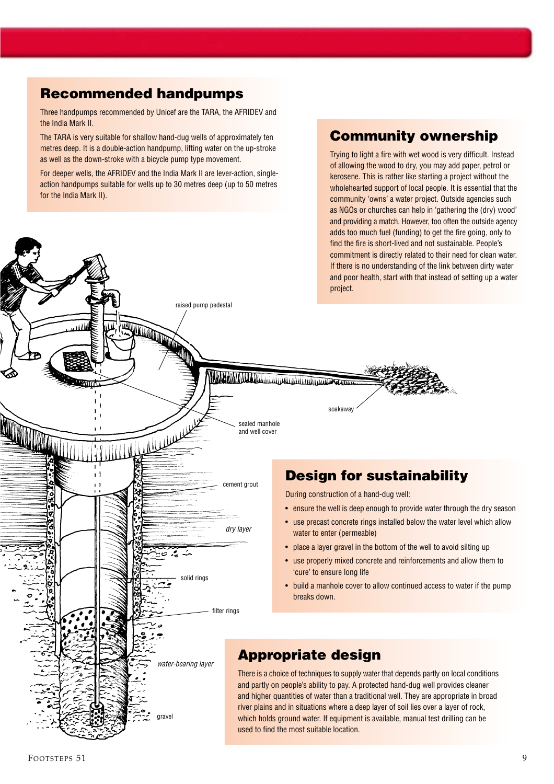## **Recommended handpumps**

Three handpumps recommended by Unicef are the TARA, the AFRIDEV and the India Mark II.

The TARA is very suitable for shallow hand-dug wells of approximately ten metres deep. It is a double-action handpump, lifting water on the up-stroke as well as the down-stroke with a bicycle pump type movement.

For deeper wells, the AFRIDEV and the India Mark II are lever-action, singleaction handpumps suitable for wells up to 30 metres deep (up to 50 metres for the India Mark II).

## **Community ownership**

Trying to light a fire with wet wood is very difficult. Instead of allowing the wood to dry, you may add paper, petrol or kerosene. This is rather like starting a project without the wholehearted support of local people. It is essential that the community 'owns' a water project. Outside agencies such as NGOs or churches can help in 'gathering the (dry) wood' and providing a match. However, too often the outside agency adds too much fuel (funding) to get the fire going, only to find the fire is short-lived and not sustainable. People's commitment is directly related to their need for clean water.

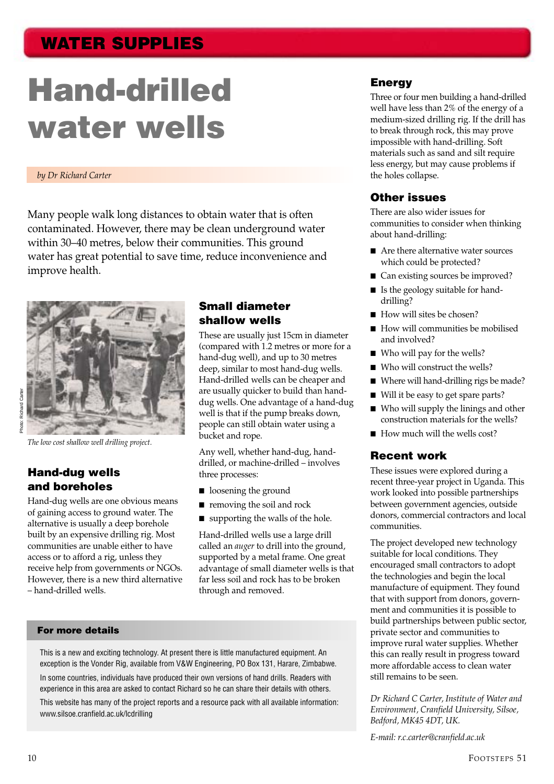# **Hand-drilled water wells**

#### *by Dr Richard Carter*

Many people walk long distances to obtain water that is often contaminated. However, there may be clean underground water within 30–40 metres, below their communities. This ground water has great potential to save time, reduce inconvenience and improve health.



*The low cost shallow well drilling project.*

### **Hand-dug wells and boreholes**

Richard Carte

Hand-dug wells are one obvious means of gaining access to ground water. The alternative is usually a deep borehole built by an expensive drilling rig. Most communities are unable either to have access or to afford a rig, unless they receive help from governments or NGOs. However, there is a new third alternative – hand-drilled wells.

#### **Small diameter shallow wells**

These are usually just 15cm in diameter (compared with 1.2 metres or more for a hand-dug well), and up to 30 metres deep, similar to most hand-dug wells. Hand-drilled wells can be cheaper and are usually quicker to build than handdug wells. One advantage of a hand-dug well is that if the pump breaks down, people can still obtain water using a bucket and rope.

Any well, whether hand-dug, handdrilled, or machine-drilled – involves three processes:

- loosening the ground
- removing the soil and rock
- supporting the walls of the hole.

Hand-drilled wells use a large drill called an *auger* to drill into the ground, supported by a metal frame. One great advantage of small diameter wells is that far less soil and rock has to be broken through and removed.

#### **For more details**

This is a new and exciting technology. At present there is little manufactured equipment. An exception is the Vonder Rig, available from V&W Engineering, PO Box 131, Harare, Zimbabwe.

In some countries, individuals have produced their own versions of hand drills. Readers with experience in this area are asked to contact Richard so he can share their details with others.

This website has many of the project reports and a resource pack with all available information: www.silsoe.cranfield.ac.uk/lcdrilling

#### **Energy**

Three or four men building a hand-drilled well have less than 2% of the energy of a medium-sized drilling rig. If the drill has to break through rock, this may prove impossible with hand-drilling. Soft materials such as sand and silt require less energy, but may cause problems if the holes collapse.

#### **Other issues**

There are also wider issues for communities to consider when thinking about hand-drilling:

- Are there alternative water sources which could be protected?
- Can existing sources be improved?
- Is the geology suitable for handdrilling?
- How will sites be chosen?
- How will communities be mobilised and involved?
- Who will pay for the wells?
- Who will construct the wells?
- Where will hand-drilling rigs be made?
- Will it be easy to get spare parts?
- Who will supply the linings and other construction materials for the wells?
- How much will the wells cost?

#### **Recent work**

These issues were explored during a recent three-year project in Uganda. This work looked into possible partnerships between government agencies, outside donors, commercial contractors and local communities.

The project developed new technology suitable for local conditions. They encouraged small contractors to adopt the technologies and begin the local manufacture of equipment. They found that with support from donors, government and communities it is possible to build partnerships between public sector, private sector and communities to improve rural water supplies. Whether this can really result in progress toward more affordable access to clean water still remains to be seen.

*Dr Richard C Carter, Institute of Water and Environment, Cranfield University, Silsoe, Bedford, MK45 4DT, UK.*

*E-mail: r.c.carter@cranfield.ac.uk*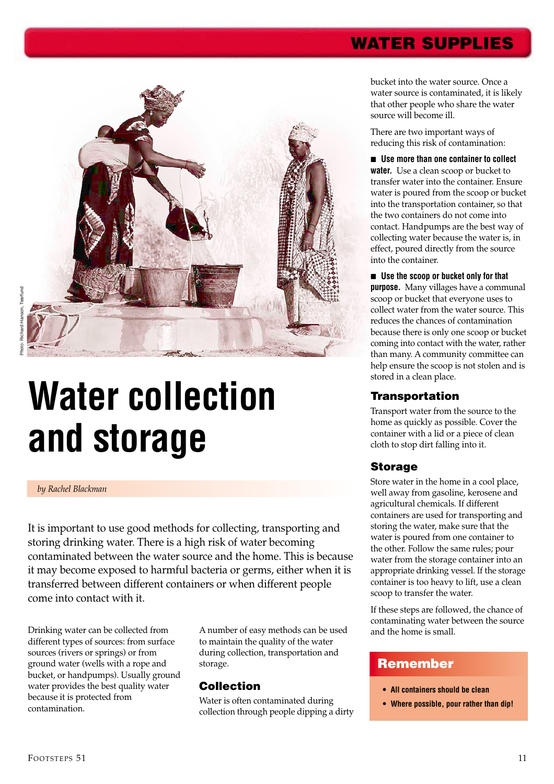

# **Water collection and storage**

#### *by Rachel Blackman*

It is important to use good methods for collecting, transporting and storing drinking water. There is a high risk of water becoming contaminated between the water source and the home. This is because it may become exposed to harmful bacteria or germs, either when it is transferred between different containers or when different people come into contact with it.

Drinking water can be collected from different types of sources: from surface sources (rivers or springs) or from ground water (wells with a rope and bucket, or handpumps). Usually ground water provides the best quality water because it is protected from contamination.

A number of easy methods can be used to maintain the quality of the water during collection, transportation and storage.

#### **Collection**

Water is often contaminated during collection through people dipping a dirty bucket into the water source. Once a water source is contaminated, it is likely that other people who share the water source will become ill.

There are two important ways of reducing this risk of contamination:

■ Use more than one container to collect **water.** Use a clean scoop or bucket to transfer water into the container. Ensure water is poured from the scoop or bucket into the transportation container, so that the two containers do not come into contact. Handpumps are the best way of collecting water because the water is, in effect, poured directly from the source into the container.

■ **Use the scoop or bucket only for that purpose.** Many villages have a communal scoop or bucket that everyone uses to collect water from the water source. This reduces the chances of contamination because there is only one scoop or bucket coming into contact with the water, rather than many. A community committee can help ensure the scoop is not stolen and is stored in a clean place.

#### **Transportation**

Transport water from the source to the home as quickly as possible. Cover the container with a lid or a piece of clean cloth to stop dirt falling into it.

### **Storage**

Store water in the home in a cool place, well away from gasoline, kerosene and agricultural chemicals. If different containers are used for transporting and storing the water, make sure that the water is poured from one container to the other. Follow the same rules; pour water from the storage container into an appropriate drinking vessel. If the storage container is too heavy to lift, use a clean scoop to transfer the water.

If these steps are followed, the chance of contaminating water between the source and the home is small.

#### **Remember**

- **All containers should be clean**
- **Where possible, pour rather than dip!**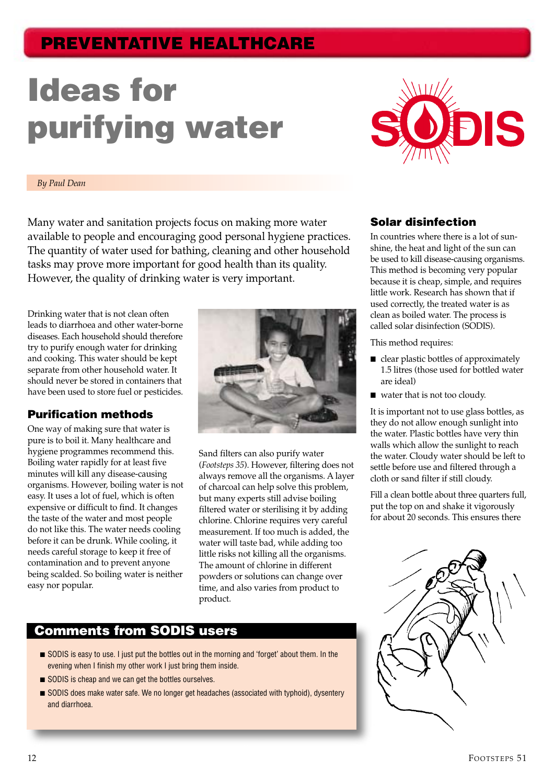# **PREVENTATIVE HEALTHCARE**

# **Ideas for purifying water**



#### *By Paul Dean*

Many water and sanitation projects focus on making more water available to people and encouraging good personal hygiene practices. The quantity of water used for bathing, cleaning and other household tasks may prove more important for good health than its quality. However, the quality of drinking water is very important.

Drinking water that is not clean often leads to diarrhoea and other water-borne diseases. Each household should therefore try to purify enough water for drinking and cooking. This water should be kept separate from other household water. It should never be stored in containers that have been used to store fuel or pesticides.

#### **Purification methods**

One way of making sure that water is pure is to boil it. Many healthcare and hygiene programmes recommend this. Boiling water rapidly for at least five minutes will kill any disease-causing organisms. However, boiling water is not easy. It uses a lot of fuel, which is often expensive or difficult to find. It changes the taste of the water and most people do not like this. The water needs cooling before it can be drunk. While cooling, it needs careful storage to keep it free of contamination and to prevent anyone being scalded. So boiling water is neither easy nor popular.



Sand filters can also purify water (*Footsteps 35*). However, filtering does not always remove all the organisms. A layer of charcoal can help solve this problem, but many experts still advise boiling filtered water or sterilising it by adding chlorine. Chlorine requires very careful measurement. If too much is added, the water will taste bad, while adding too little risks not killing all the organisms. The amount of chlorine in different powders or solutions can change over time, and also varies from product to product.

## **Comments from SODIS users**

- SODIS is easy to use. I just put the bottles out in the morning and 'forget' about them. In the evening when I finish my other work I just bring them inside.
- SODIS is cheap and we can get the bottles ourselves.
- SODIS does make water safe. We no longer get headaches (associated with typhoid), dysentery and diarrhoea.

#### **Solar disinfection**

In countries where there is a lot of sunshine, the heat and light of the sun can be used to kill disease-causing organisms. This method is becoming very popular because it is cheap, simple, and requires little work. Research has shown that if used correctly, the treated water is as clean as boiled water. The process is called solar disinfection (SODIS).

This method requires:

- clear plastic bottles of approximately 1.5 litres (those used for bottled water are ideal)
- water that is not too cloudy.

It is important not to use glass bottles, as they do not allow enough sunlight into the water. Plastic bottles have very thin walls which allow the sunlight to reach the water. Cloudy water should be left to settle before use and filtered through a cloth or sand filter if still cloudy.

Fill a clean bottle about three quarters full, put the top on and shake it vigorously for about 20 seconds. This ensures there

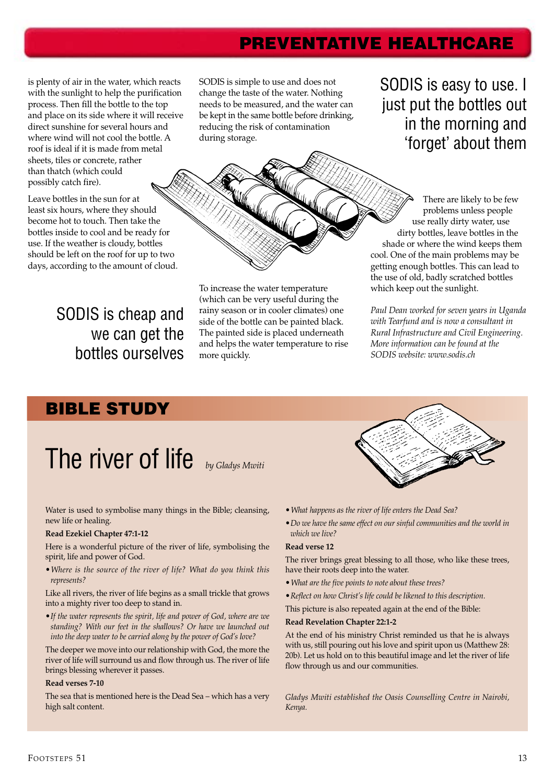## **PREVENTATIVE HEALTHCARE**

is plenty of air in the water, which reacts with the sunlight to help the purification process. Then fill the bottle to the top and place on its side where it will receive direct sunshine for several hours and where wind will not cool the bottle. A roof is ideal if it is made from metal sheets, tiles or concrete, rather than thatch (which could possibly catch fire).

Leave bottles in the sun for at least six hours, where they should become hot to touch. Then take the bottles inside to cool and be ready for use. If the weather is cloudy, bottles should be left on the roof for up to two days, according to the amount of cloud.

> SODIS is cheap and we can get the bottles ourselves

SODIS is simple to use and does not change the taste of the water. Nothing needs to be measured, and the water can be kept in the same bottle before drinking, reducing the risk of contamination during storage.

SODIS is easy to use. I just put the bottles out in the morning and 'forget' about them

There are likely to be few problems unless people use really dirty water, use dirty bottles, leave bottles in the shade or where the wind keeps them cool. One of the main problems may be getting enough bottles. This can lead to the use of old, badly scratched bottles which keep out the sunlight.

*Paul Dean worked for seven years in Uganda with Tearfund and is now a consultant in Rural Infrastructure and Civil Engineering. More information can be found at the SODIS website: www.sodis.ch*

## **BIBLE STUDY**

# The river of life *by Gladys Mwiti*

Water is used to symbolise many things in the Bible; cleansing,

### new life or healing.

#### **Read Ezekiel Chapter 47:1-12**

Here is a wonderful picture of the river of life, symbolising the spirit, life and power of God.

*• Where is the source of the river of life? What do you think this represents?*

Like all rivers, the river of life begins as a small trickle that grows into a mighty river too deep to stand in.

*• If the water represents the spirit, life and power of God, where are we standing? With our feet in the shallows? Or have we launched out into the deep water to be carried along by the power of God's love?*

The deeper we move into our relationship with God, the more the river of life will surround us and flow through us. The river of life brings blessing wherever it passes.

#### **Read verses 7-10**

The sea that is mentioned here is the Dead Sea – which has a very high salt content.

side of the bottle can be painted black. The painted side is placed underneath and helps the water temperature to rise more quickly.

To increase the water temperature (which can be very useful during the rainy season or in cooler climates) one

*• What happens as the river of life enters the Dead Sea?*

*• Do we have the same effect on our sinful communities and the world in which we live?*

#### **Read verse 12**

The river brings great blessing to all those, who like these trees, have their roots deep into the water.

- *What are the five points to note about these trees?*
- *Reflect on how Christ's life could be likened to this description.*

This picture is also repeated again at the end of the Bible:

#### **Read Revelation Chapter 22:1-2**

At the end of his ministry Christ reminded us that he is always with us, still pouring out his love and spirit upon us (Matthew 28: 20b). Let us hold on to this beautiful image and let the river of life flow through us and our communities.

*Gladys Mwiti established the Oasis Counselling Centre in Nairobi, Kenya.*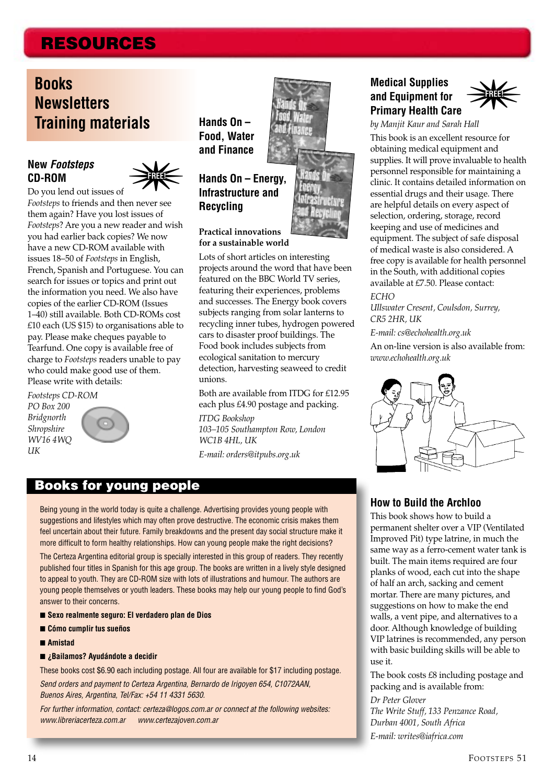# **RESOURCES**

# **Books Newsletters Training materials**

#### **New** *Footsteps* **CD-ROM**



Do you lend out issues of *Footsteps* to friends and then never see them again? Have you lost issues of *Footsteps*? Are you a new reader and wish you had earlier back copies? We now have a new CD-ROM available with issues 18–50 of *Footsteps* in English, French, Spanish and Portuguese. You can search for issues or topics and print out the information you need. We also have copies of the earlier CD-ROM (Issues 1–40) still available. Both CD-ROMs cost £10 each (US \$15) to organisations able to pay. Please make cheques payable to Tearfund. One copy is available free of charge to *Footsteps* readers unable to pay who could make good use of them. Please write with details:

*Footsteps CD-ROM PO Box 200 Bridgnorth Shropshire WV16 4WQ UK*

**Hands On – Food, Water and Finance**

#### **Hands On – Energy, Infrastructure and Recycling**

#### **Practical innovations for a sustainable world**

Lots of short articles on interesting projects around the word that have been featured on the BBC World TV series, featuring their experiences, problems and successes. The Energy book covers subjects ranging from solar lanterns to recycling inner tubes, hydrogen powered cars to disaster proof buildings. The Food book includes subjects from ecological sanitation to mercury detection, harvesting seaweed to credit unions.

Both are available from ITDG for £12.95 each plus £4.90 postage and packing.

*ITDG Bookshop 103–105 Southampton Row, London WC1B 4HL, UK*

*E-mail: orders@itpubs.org.uk*

### **Medical Supplies and Equipment for Primary Health Care**



*by Manjit Kaur and Sarah Hall*

This book is an excellent resource for obtaining medical equipment and supplies. It will prove invaluable to health personnel responsible for maintaining a clinic. It contains detailed information on essential drugs and their usage. There are helpful details on every aspect of selection, ordering, storage, record keeping and use of medicines and equipment. The subject of safe disposal of medical waste is also considered. A free copy is available for health personnel in the South, with additional copies available at £7.50. Please contact: *ECHO*

*Ullswater Cresent, Coulsdon, Surrey, CR5 2HR, UK*

*E-mail: cs@echohealth.org.uk*

An on-line version is also available from: *www.echohealth.org.uk*



## **Books for young people**

Being young in the world today is quite a challenge. Advertising provides young people with suggestions and lifestyles which may often prove destructive. The economic crisis makes them feel uncertain about their future. Family breakdowns and the present day social structure make it more difficult to form healthy relationships. How can young people make the right decisions?

The Certeza Argentina editorial group is specially interested in this group of readers. They recently published four titles in Spanish for this age group. The books are written in a lively style designed to appeal to youth. They are CD-ROM size with lots of illustrations and humour. The authors are young people themselves or youth leaders. These books may help our young people to find God's answer to their concerns.

- Sexo realmente seguro: El verdadero plan de Dios
- **Cómo cumplir tus sueños**
- **Amistad**
- **¿Bailamos? Ayudándote a decidir**

These books cost \$6.90 each including postage. All four are available for \$17 including postage.

Send orders and payment to Certeza Argentina, Bernardo de Irigoyen 654, C1072AAN, Buenos Aires, Argentina, Tel/Fax: +54 11 4331 5630.

For further information, contact: certeza@logos.com.ar or connect at the following websites: www.libreriacerteza.com.ar www.certezajoven.com.ar

#### **How to Build the Archloo**

This book shows how to build a permanent shelter over a VIP (Ventilated Improved Pit) type latrine, in much the same way as a ferro-cement water tank is built. The main items required are four planks of wood, each cut into the shape of half an arch, sacking and cement mortar. There are many pictures, and suggestions on how to make the end walls, a vent pipe, and alternatives to a door. Although knowledge of building VIP latrines is recommended, any person with basic building skills will be able to use it.

The book costs £8 including postage and packing and is available from: *Dr Peter Glover The Write Stuff, 133 Penzance Road, Durban 4001, South Africa E-mail: writes@iafrica.com*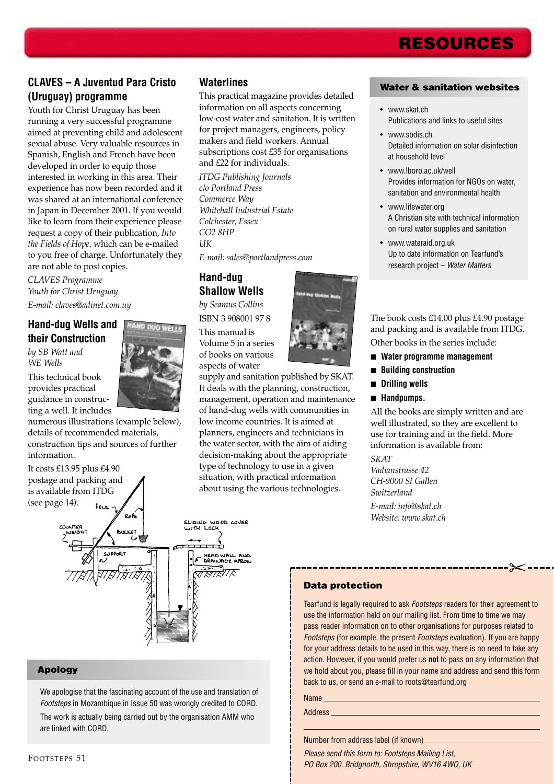# **RESOURCES**

### **CLAVES – A Juventud Para Cristo (Uruguay) programme**

Youth for Christ Uruguay has been running a very successful programme aimed at preventing child and adolescent sexual abuse. Very valuable resources in Spanish, English and French have been developed in order to equip those interested in working in this area. Their experience has now been recorded and it was shared at an international conference in Japan in December 2001. If you would like to learn from their experience please request a copy of their publication, *Into the Fields of Hope,* which can be e-mailed to you free of charge. Unfortunately they are not able to post copies.

*CLAVES Programme Youth for Christ Uruguay E-mail: claves@adinet.com.uy*

### **Hand-dug Wells and their Construction**

*by SB Watt and WE Wells*

This technical book provides practical guidance in constructing a well. It includes

numerous illustrations (example below), details of recommended materials, construction tips and sources of further information.

#### It costs £13.95 plus £4.90 postage and packing and is available from ITDG (see page 14).  $P_{\text{DLE}}$



#### **Apology**

We apologise that the fascinating account of the use and translation of Footsteps in Mozambique in Issue 50 was wrongly credited to CORD. The work is actually being carried out by the organisation AMM who are linked with CORD.

#### **Waterlines**

This practical magazine provides detailed information on all aspects concerning low-cost water and sanitation. It is written for project managers, engineers, policy makers and field workers. Annual subscriptions cost £35 for organisations and £22 for individuals.

*ITDG Publishing Journals c/o Portland Press Commerce Way Whitehall Industrial Estate Colchester, Essex CO2 8HP UK*

*E-mail: sales@portlandpress.com*

#### **Hand-dug Shallow Wells**

*by Seamus Collins* ISBN 3 908001 97 8

This manual is Volume 5 in a series of books on various aspects of water

supply and sanitation published by SKAT. It deals with the planning, construction, management, operation and maintenance of hand-dug wells with communities in low income countries. It is aimed at planners, engineers and technicians in the water sector, with the aim of aiding decision-making about the appropriate type of technology to use in a given situation, with practical information about using the various technologies.



- www.skat.ch Publications and links to useful sites
- www.sodis.ch Detailed information on solar disinfection at household level
- www.lboro.ac.uk/well Provides information for NGOs on water, sanitation and environmental health
- www.lifewater.org A Christian site with technical information on rural water supplies and sanitation
- www.wateraid.org.uk Up to date information on Tearfund's research project – Water Matters

The book costs £14.00 plus £4.90 postage and packing and is available from ITDG. Other books in the series include:

- **Water programme management**
- **Building construction**
- **Drilling wells**
- **Handpumps.**

All the books are simply written and are well illustrated, so they are excellent to use for training and in the field. More information is available from:

 $\approx$ 

*SKAT Vadianstrasse 42 CH-9000 St Gallen Switzerland E-mail: info@skat.ch Website: www.skat.ch*

#### **Data protection**

Tearfund is legally required to ask Footsteps readers for their agreement to use the information held on our mailing list. From time to time we may pass reader information on to other organisations for purposes related to Footsteps (for example, the present Footsteps evaluation). If you are happy for your address details to be used in this way, there is no need to take any action. However, if you would prefer us **not** to pass on any information that we hold about you, please fill in your name and address and send this form back to us, or send an e-mail to roots@tearfund.org

Name

Address

Number from address label (if known)

Please send this form to: Footsteps Mailing List, PO Box 200, Bridgnorth, Shropshire, WV16 4WQ, UK